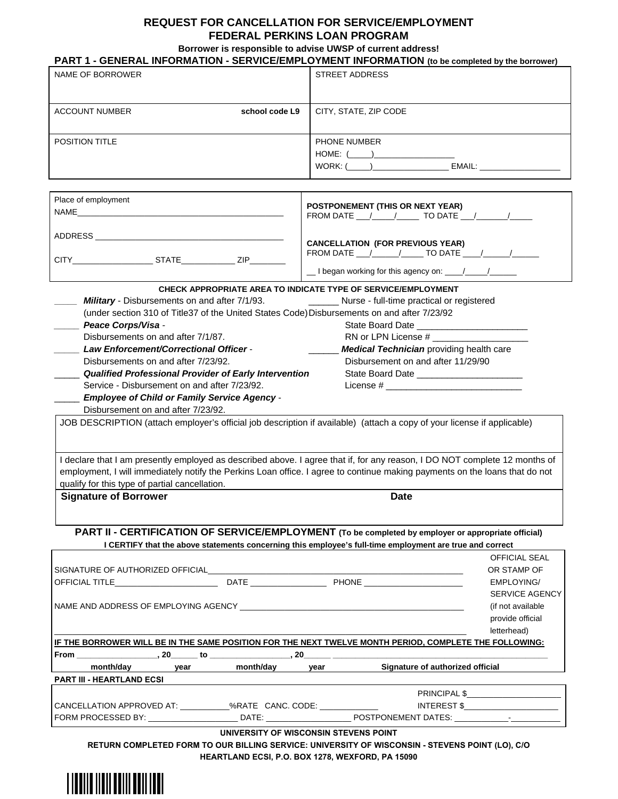## **REQUEST FOR CANCELLATION FOR SERVICE/EMPLOYMENT FEDERAL PERKINS LOAN PROGRAM**

## **Borrower is responsible to advise UWSP of current address!**

|                                                                                                                                                                                                                                                                                                             | <b>PART 1 - GENERAL INFORMATION - SERVICE/EMPLOYMENT INFORMATION</b> (to be completed by the borrower)               |
|-------------------------------------------------------------------------------------------------------------------------------------------------------------------------------------------------------------------------------------------------------------------------------------------------------------|----------------------------------------------------------------------------------------------------------------------|
| NAME OF BORROWER                                                                                                                                                                                                                                                                                            | <b>STREET ADDRESS</b>                                                                                                |
|                                                                                                                                                                                                                                                                                                             |                                                                                                                      |
|                                                                                                                                                                                                                                                                                                             |                                                                                                                      |
| <b>ACCOUNT NUMBER</b><br>school code L9                                                                                                                                                                                                                                                                     | CITY, STATE, ZIP CODE                                                                                                |
|                                                                                                                                                                                                                                                                                                             |                                                                                                                      |
| <b>POSITION TITLE</b>                                                                                                                                                                                                                                                                                       | PHONE NUMBER                                                                                                         |
|                                                                                                                                                                                                                                                                                                             |                                                                                                                      |
|                                                                                                                                                                                                                                                                                                             |                                                                                                                      |
|                                                                                                                                                                                                                                                                                                             |                                                                                                                      |
|                                                                                                                                                                                                                                                                                                             |                                                                                                                      |
| Place of employment                                                                                                                                                                                                                                                                                         | POSTPONEMENT (THIS OR NEXT YEAR)                                                                                     |
| NAME And the contract of the contract of the contract of the contract of the contract of the contract of the contract of the contract of the contract of the contract of the contract of the contract of the contract of the c                                                                              | FROM DATE ___ /______ /_______ TO DATE ___ /_______ /______                                                          |
|                                                                                                                                                                                                                                                                                                             |                                                                                                                      |
|                                                                                                                                                                                                                                                                                                             | <b>CANCELLATION (FOR PREVIOUS YEAR)</b>                                                                              |
|                                                                                                                                                                                                                                                                                                             | FROM DATE $\frac{1}{\sqrt{2}}$ / TO DATE $\frac{1}{\sqrt{2}}$ / /                                                    |
|                                                                                                                                                                                                                                                                                                             |                                                                                                                      |
|                                                                                                                                                                                                                                                                                                             |                                                                                                                      |
|                                                                                                                                                                                                                                                                                                             | CHECK APPROPRIATE AREA TO INDICATE TYPE OF SERVICE/EMPLOYMENT                                                        |
| <b>Military</b> - Disbursements on and after 7/1/93. Nurse - full-time practical or registered                                                                                                                                                                                                              |                                                                                                                      |
| (under section 310 of Title37 of the United States Code) Disbursements on and after 7/23/92                                                                                                                                                                                                                 |                                                                                                                      |
| Peace Corps/Visa -                                                                                                                                                                                                                                                                                          |                                                                                                                      |
| Disbursements on and after 7/1/87.                                                                                                                                                                                                                                                                          |                                                                                                                      |
| Law Enforcement/Correctional Officer -                                                                                                                                                                                                                                                                      | Medical Technician providing health care                                                                             |
| Disbursement on and after 11/29/90<br>Disbursements on and after 7/23/92.                                                                                                                                                                                                                                   |                                                                                                                      |
| Qualified Professional Provider of Early Intervention<br>State Board Date _________________________                                                                                                                                                                                                         |                                                                                                                      |
| Service - Disbursement on and after 7/23/92.<br>License # 2008 and 2008 and 2008 and 2008 and 2008 and 2008 and 2008 and 2008 and 2008 and 2008 and                                                                                                                                                         |                                                                                                                      |
| <b>Employee of Child or Family Service Agency -</b>                                                                                                                                                                                                                                                         |                                                                                                                      |
| Disbursement on and after 7/23/92.                                                                                                                                                                                                                                                                          |                                                                                                                      |
| I declare that I am presently employed as described above. I agree that if, for any reason, I DO NOT complete 12 months of<br>employment, I will immediately notify the Perkins Loan office. I agree to continue making payments on the loans that do not<br>qualify for this type of partial cancellation. |                                                                                                                      |
| <b>Signature of Borrower</b>                                                                                                                                                                                                                                                                                | <b>Date</b>                                                                                                          |
|                                                                                                                                                                                                                                                                                                             |                                                                                                                      |
|                                                                                                                                                                                                                                                                                                             |                                                                                                                      |
|                                                                                                                                                                                                                                                                                                             | PART II - CERTIFICATION OF SERVICE/EMPLOYMENT (To be completed by employer or appropriate official)                  |
|                                                                                                                                                                                                                                                                                                             | I CERTIFY that the above statements concerning this employee's full-time employment are true and correct             |
|                                                                                                                                                                                                                                                                                                             | <b>OFFICIAL SEAL</b>                                                                                                 |
|                                                                                                                                                                                                                                                                                                             | OR STAMP OF                                                                                                          |
|                                                                                                                                                                                                                                                                                                             | EMPLOYING/                                                                                                           |
|                                                                                                                                                                                                                                                                                                             | <b>SERVICE AGENCY</b>                                                                                                |
|                                                                                                                                                                                                                                                                                                             | (if not available                                                                                                    |
|                                                                                                                                                                                                                                                                                                             | provide official                                                                                                     |
|                                                                                                                                                                                                                                                                                                             | letterhead)                                                                                                          |
| IF THE BORROWER WILL BE IN THE SAME POSITION FOR THE NEXT TWELVE MONTH PERIOD, COMPLETE THE FOLLOWING:                                                                                                                                                                                                      |                                                                                                                      |
|                                                                                                                                                                                                                                                                                                             |                                                                                                                      |
| month/day year month/day                                                                                                                                                                                                                                                                                    | year<br>Signature of authorized official                                                                             |
| <b>PART III - HEARTLAND ECSI</b>                                                                                                                                                                                                                                                                            |                                                                                                                      |
|                                                                                                                                                                                                                                                                                                             | PRINCIPAL \$______________________                                                                                   |
| CANCELLATION APPROVED AT: ___________%RATE CANC. CODE: ____________                                                                                                                                                                                                                                         |                                                                                                                      |
|                                                                                                                                                                                                                                                                                                             | FORM PROCESSED BY: __________________________DATE: ________________________POSTPONEMENT DATES: _____________________ |
|                                                                                                                                                                                                                                                                                                             |                                                                                                                      |
| UNIVERSITY OF WISCONSIN STEVENS POINT                                                                                                                                                                                                                                                                       |                                                                                                                      |
| RETURN COMPLETED FORM TO OUR BILLING SERVICE: UNIVERSITY OF WISCONSIN - STEVENS POINT (LO), C/O<br>HEARTLAND ECSI, P.O. BOX 1278, WEXFORD, PA 15090                                                                                                                                                         |                                                                                                                      |